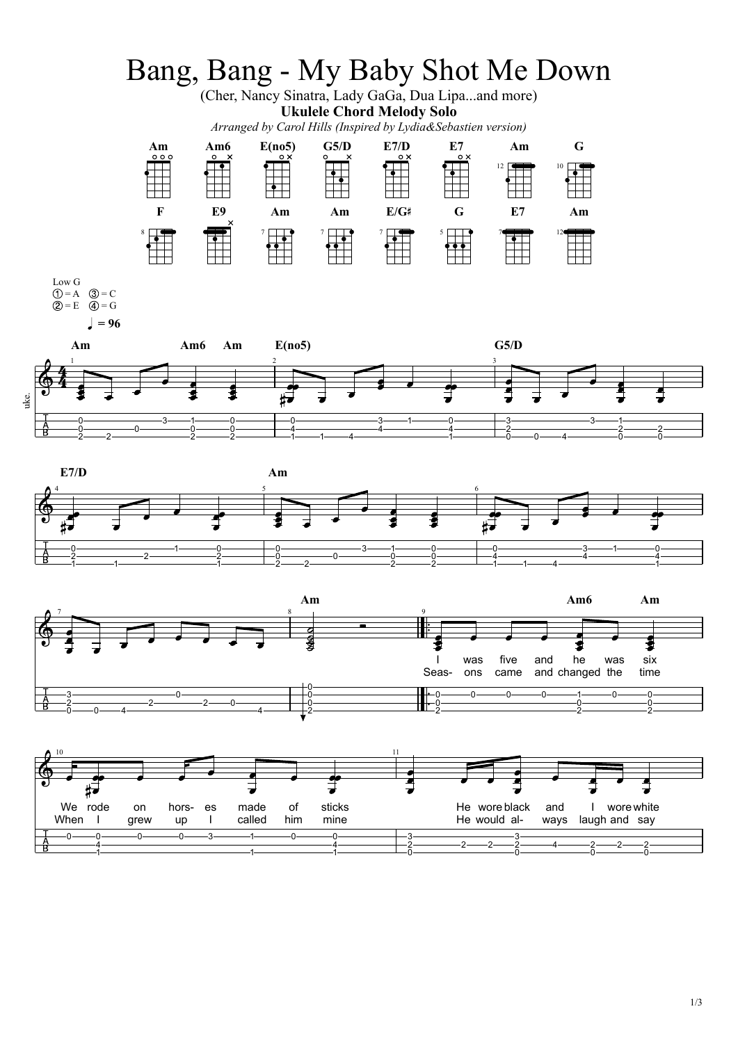





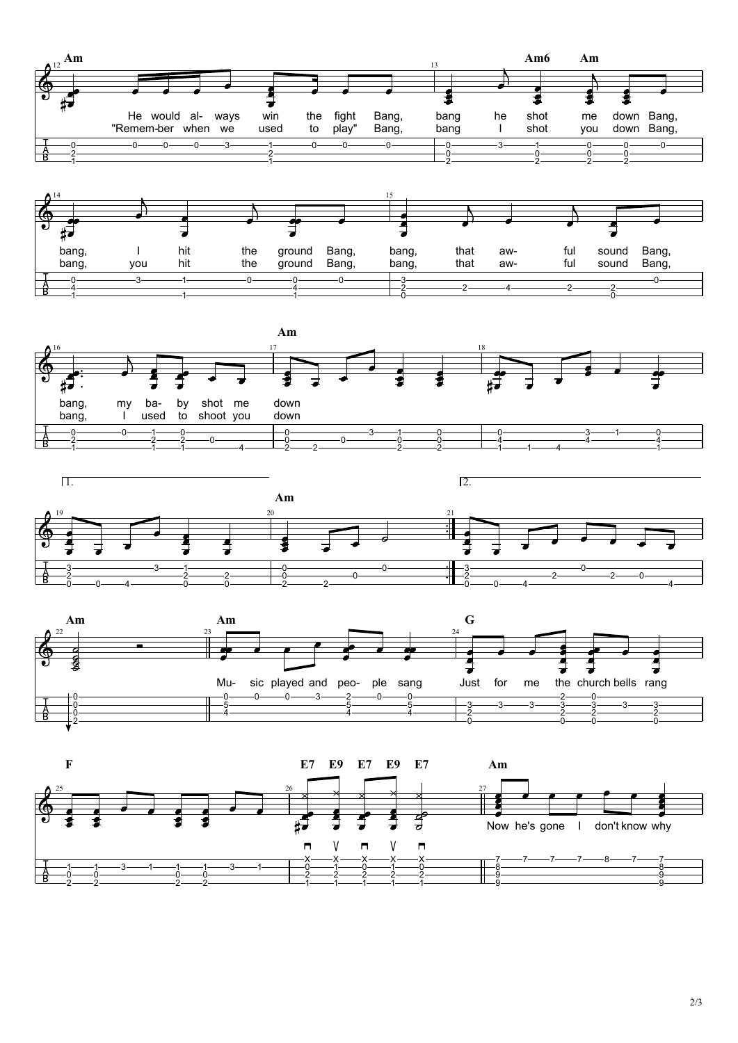



**Am** 18  $\mathbf{G}$  $\frac{1}{2}$  $\overline{\mathbf{e}}$  $\sharp \exists$  . bang, my ba- by shot me down bang, I used to shoot you down  $-0$  $\Omega$  $\overline{0}$  $\mathbf{0}$   $-1$   $0$  1  $\overline{0}$   $2 - 2$   $-1$   $-4$